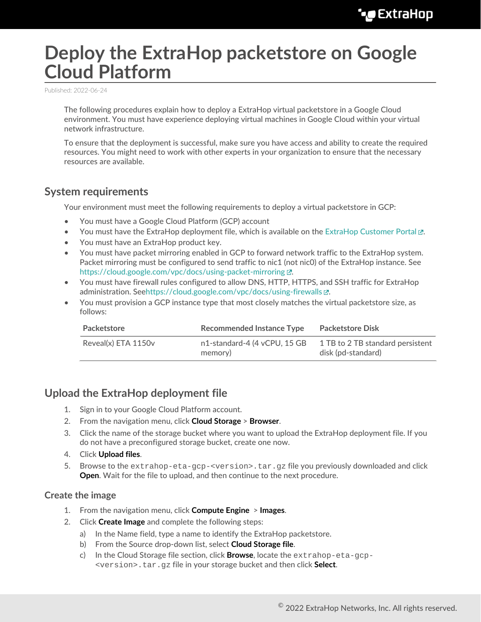# **Deploy the ExtraHop packetstore on Google Cloud Platform**

Published: 2022-06-24

The following procedures explain how to deploy a ExtraHop virtual packetstore in a Google Cloud environment. You must have experience deploying virtual machines in Google Cloud within your virtual network infrastructure.

To ensure that the deployment is successful, make sure you have access and ability to create the required resources. You might need to work with other experts in your organization to ensure that the necessary resources are available.

### **System requirements**

Your environment must meet the following requirements to deploy a virtual packetstore in GCP:

- You must have a Google Cloud Platform (GCP) account
- You must have the ExtraHop deployment file, which is available on the [ExtraHop Customer Portal](https://customers.extrahop.com/downloads/virtual-appliances/)  $\mathbb{Z}$ .
- You must have an ExtraHop product key.
- You must have packet mirroring enabled in GCP to forward network traffic to the ExtraHop system. Packet mirroring must be configured to send traffic to nic1 (not nic0) of the ExtraHop instance. See <https://cloud.google.com/vpc/docs/using-packet-mirroring>...
- You must have firewall rules configured to allow DNS, HTTP, HTTPS, and SSH traffic for ExtraHop administration. See[https://cloud.google.com/vpc/docs/using-firewalls .](https://cloud.google.com/vpc/docs/using-firewalls)..
- You must provision a GCP instance type that most closely matches the virtual packetstore size, as follows:

| Packetstore         | <b>Recommended Instance Type</b>        | <b>Packetstore Disk</b>                                |  |
|---------------------|-----------------------------------------|--------------------------------------------------------|--|
| Reveal(x) ETA 1150v | n1-standard-4 (4 vCPU, 15 GB<br>memory) | 1 TB to 2 TB standard persistent<br>disk (pd-standard) |  |

## **Upload the ExtraHop deployment file**

- 1. Sign in to your Google Cloud Platform account.
- 2. From the navigation menu, click **Cloud Storage** > **Browser**.
- 3. Click the name of the storage bucket where you want to upload the ExtraHop deployment file. If you do not have a preconfigured storage bucket, create one now.
- 4. Click **Upload files**.
- 5. Browse to the extrahop-eta-gcp-<version>.tar.gz file you previously downloaded and click **Open**. Wait for the file to upload, and then continue to the next procedure.

#### **Create the image**

- 1. From the navigation menu, click **Compute Engine** > **Images**.
- 2. Click **Create Image** and complete the following steps:
	- a) In the Name field, type a name to identify the ExtraHop packetstore.
	- b) From the Source drop-down list, select **Cloud Storage file**.
	- c) In the Cloud Storage file section, click **Browse**, locate the extrahop-eta-gcp- <version>.tar.gz file in your storage bucket and then click **Select**.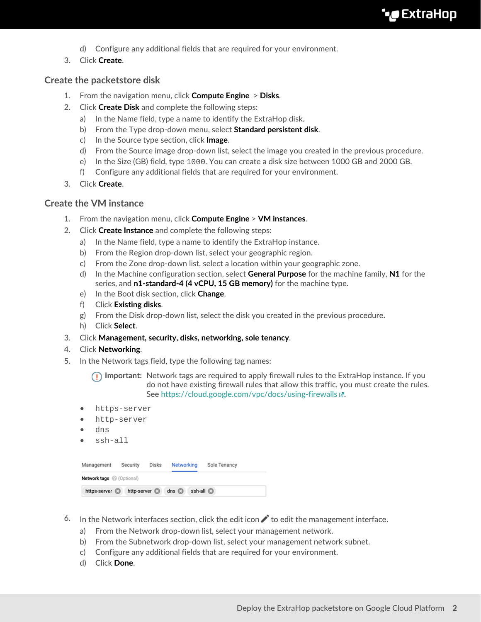- d) Configure any additional fields that are required for your environment.
- 3. Click **Create**.

#### **Create the packetstore disk**

- 1. From the navigation menu, click **Compute Engine** > **Disks**.
- 2. Click **Create Disk** and complete the following steps:
	- a) In the Name field, type a name to identify the ExtraHop disk.
	- b) From the Type drop-down menu, select **Standard persistent disk**.
	- c) In the Source type section, click **Image**.
	- d) From the Source image drop-down list, select the image you created in the previous procedure.
	- e) In the Size (GB) field, type 1000. You can create a disk size between 1000 GB and 2000 GB.
	- f) Configure any additional fields that are required for your environment.
- 3. Click **Create**.

#### **Create the VM instance**

- 1. From the navigation menu, click **Compute Engine** > **VM instances**.
- 2. Click **Create Instance** and complete the following steps:
	- a) In the Name field, type a name to identify the ExtraHop instance.
	- b) From the Region drop-down list, select your geographic region.
	- c) From the Zone drop-down list, select a location within your geographic zone.
	- d) In the Machine configuration section, select **General Purpose** for the machine family, **N1** for the series, and **n1-standard-4 (4 vCPU, 15 GB memory)** for the machine type.
	- e) In the Boot disk section, click **Change**.
	- f) Click **Existing disks**.
	- g) From the Disk drop-down list, select the disk you created in the previous procedure.
	- h) Click **Select**.
- 3. Click **Management, security, disks, networking, sole tenancy**.
- 4. Click **Networking**.
- 5. In the Network tags field, type the following tag names:

**Important:** Network tags are required to apply firewall rules to the ExtraHop instance. If you do not have existing firewall rules that allow this traffic, you must create the rules. See<https://cloud.google.com/vpc/docs/using-firewalls> $\mathbb{E}$ .

- https-server
- http-server
- dns
- ssh-all

| Management                     | Security             | Disks | Networking  | Sole Tenancy |  |  |
|--------------------------------|----------------------|-------|-------------|--------------|--|--|
| <b>Network tags</b> (Optional) |                      |       |             |              |  |  |
| https-server                   | http-server <b>a</b> |       | dns $\odot$ | ssh-all a    |  |  |

- 6. In the Network interfaces section, click the edit icon  $\bigwedge$  to edit the management interface.
	- a) From the Network drop-down list, select your management network.
	- b) From the Subnetwork drop-down list, select your management network subnet.
	- c) Configure any additional fields that are required for your environment.
	- d) Click **Done**.